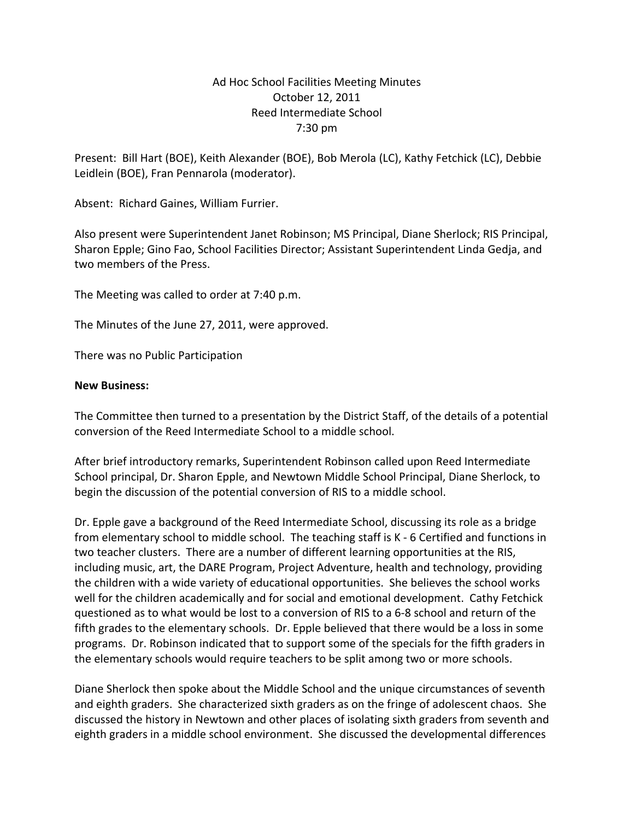## Ad Hoc School Facilities Meeting Minutes October 12, 2011 Reed Intermediate School 7:30 pm

Present: Bill Hart (BOE), Keith Alexander (BOE), Bob Merola (LC), Kathy Fetchick (LC), Debbie Leidlein (BOE), Fran Pennarola (moderator).

Absent: Richard Gaines, William Furrier.

Also present were Superintendent Janet Robinson; MS Principal, Diane Sherlock; RIS Principal, Sharon Epple; Gino Fao, School Facilities Director; Assistant Superintendent Linda Gedja, and two members of the Press.

The Meeting was called to order at 7:40 p.m.

The Minutes of the June 27, 2011, were approved.

There was no Public Participation

## **New Business:**

The Committee then turned to a presentation by the District Staff, of the details of a potential conversion of the Reed Intermediate School to a middle school.

After brief introductory remarks, Superintendent Robinson called upon Reed Intermediate School principal, Dr. Sharon Epple, and Newtown Middle School Principal, Diane Sherlock, to begin the discussion of the potential conversion of RIS to a middle school.

Dr. Epple gave a background of the Reed Intermediate School, discussing its role as a bridge from elementary school to middle school. The teaching staff is K ‐ 6 Certified and functions in two teacher clusters. There are a number of different learning opportunities at the RIS, including music, art, the DARE Program, Project Adventure, health and technology, providing the children with a wide variety of educational opportunities. She believes the school works well for the children academically and for social and emotional development. Cathy Fetchick questioned as to what would be lost to a conversion of RIS to a 6‐8 school and return of the fifth grades to the elementary schools. Dr. Epple believed that there would be a loss in some programs. Dr. Robinson indicated that to support some of the specials for the fifth graders in the elementary schools would require teachers to be split among two or more schools.

Diane Sherlock then spoke about the Middle School and the unique circumstances of seventh and eighth graders. She characterized sixth graders as on the fringe of adolescent chaos. She discussed the history in Newtown and other places of isolating sixth graders from seventh and eighth graders in a middle school environment. She discussed the developmental differences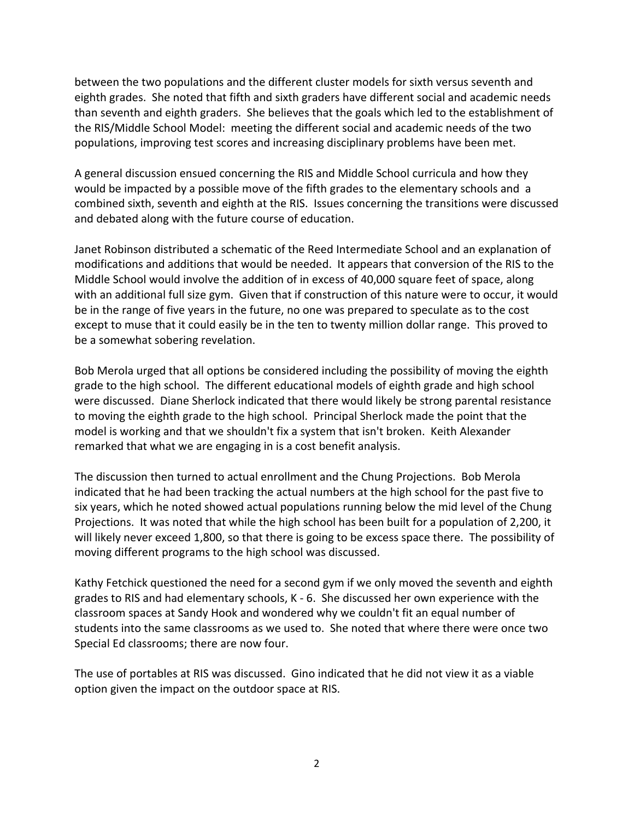between the two populations and the different cluster models for sixth versus seventh and eighth grades. She noted that fifth and sixth graders have different social and academic needs than seventh and eighth graders. She believes that the goals which led to the establishment of the RIS/Middle School Model: meeting the different social and academic needs of the two populations, improving test scores and increasing disciplinary problems have been met.

A general discussion ensued concerning the RIS and Middle School curricula and how they would be impacted by a possible move of the fifth grades to the elementary schools and a combined sixth, seventh and eighth at the RIS. Issues concerning the transitions were discussed and debated along with the future course of education.

Janet Robinson distributed a schematic of the Reed Intermediate School and an explanation of modifications and additions that would be needed. It appears that conversion of the RIS to the Middle School would involve the addition of in excess of 40,000 square feet of space, along with an additional full size gym. Given that if construction of this nature were to occur, it would be in the range of five years in the future, no one was prepared to speculate as to the cost except to muse that it could easily be in the ten to twenty million dollar range. This proved to be a somewhat sobering revelation.

Bob Merola urged that all options be considered including the possibility of moving the eighth grade to the high school. The different educational models of eighth grade and high school were discussed. Diane Sherlock indicated that there would likely be strong parental resistance to moving the eighth grade to the high school. Principal Sherlock made the point that the model is working and that we shouldn't fix a system that isn't broken. Keith Alexander remarked that what we are engaging in is a cost benefit analysis.

The discussion then turned to actual enrollment and the Chung Projections. Bob Merola indicated that he had been tracking the actual numbers at the high school for the past five to six years, which he noted showed actual populations running below the mid level of the Chung Projections. It was noted that while the high school has been built for a population of 2,200, it will likely never exceed 1,800, so that there is going to be excess space there. The possibility of moving different programs to the high school was discussed.

Kathy Fetchick questioned the need for a second gym if we only moved the seventh and eighth grades to RIS and had elementary schools, K ‐ 6. She discussed her own experience with the classroom spaces at Sandy Hook and wondered why we couldn't fit an equal number of students into the same classrooms as we used to. She noted that where there were once two Special Ed classrooms; there are now four.

The use of portables at RIS was discussed. Gino indicated that he did not view it as a viable option given the impact on the outdoor space at RIS.